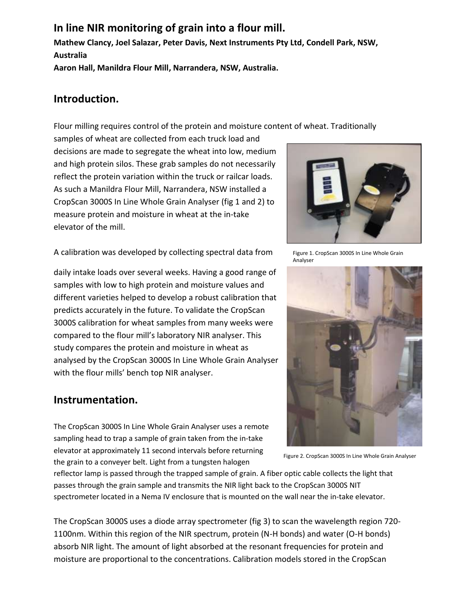# **In line NIR monitoring of grain into a flour mill.**

**Mathew Clancy, Joel Salazar, Peter Davis, Next Instruments Pty Ltd, Condell Park, NSW, Australia Aaron Hall, Manildra Flour Mill, Narrandera, NSW, Australia.**

**Introduction.**

Flour milling requires control of the protein and moisture content of wheat. Traditionally

samples of wheat are collected from each truck load and decisions are made to segregate the wheat into low, medium and high protein silos. These grab samples do not necessarily reflect the protein variation within the truck or railcar loads. As such a Manildra Flour Mill, Narrandera, NSW installed a CropScan 3000S In Line Whole Grain Analyser (fig 1 and 2) to measure protein and moisture in wheat at the in-take elevator of the mill.

A calibration was developed by collecting spectral data from

daily intake loads over several weeks. Having a good range of samples with low to high protein and moisture values and different varieties helped to develop a robust calibration that predicts accurately in the future. To validate the CropScan 3000S calibration for wheat samples from many weeks were compared to the flour mill's laboratory NIR analyser. This study compares the protein and moisture in wheat as analysed by the CropScan 3000S In Line Whole Grain Analyser with the flour mills' bench top NIR analyser.

### **Instrumentation.**

The CropScan 3000S In Line Whole Grain Analyser uses a remote sampling head to trap a sample of grain taken from the in-take elevator at approximately 11 second intervals before returning the grain to a conveyer belt. Light from a tungsten halogen

reflector lamp is passed through the trapped sample of grain. A fiber optic cable collects the light that passes through the grain sample and transmits the NIR light back to the CropScan 3000S NIT spectrometer located in a Nema IV enclosure that is mounted on the wall near the in-take elevator.

The CropScan 3000S uses a diode array spectrometer (fig 3) to scan the wavelength region 720- 1100nm. Within this region of the NIR spectrum, protein (N-H bonds) and water (O-H bonds) absorb NIR light. The amount of light absorbed at the resonant frequencies for protein and moisture are proportional to the concentrations. Calibration models stored in the CropScan



Figure 1. CropScan 3000S In Line Whole Grain Analyser



Figure 2. CropScan 3000S In Line Whole Grain Analyser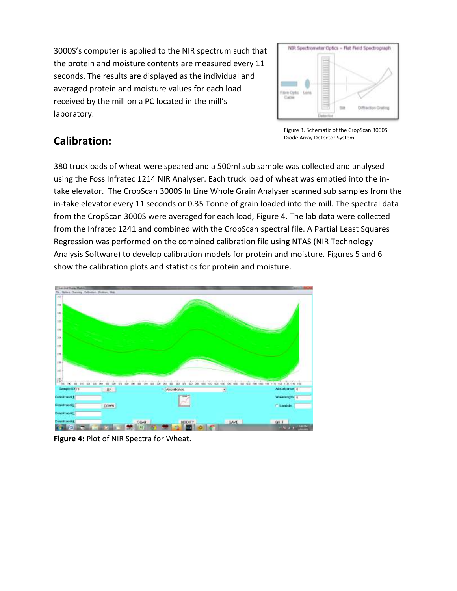3000S's computer is applied to the NIR spectrum such that the protein and moisture contents are measured every 11 seconds. The results are displayed as the individual and averaged protein and moisture values for each load received by the mill on a PC located in the mill's laboratory.



## **Calibration:**

Figure 3. Schematic of the CropScan 3000S Diode Array Detector System

380 truckloads of wheat were speared and a 500ml sub sample was collected and analysed using the Foss Infratec 1214 NIR Analyser. Each truck load of wheat was emptied into the intake elevator. The CropScan 3000S In Line Whole Grain Analyser scanned sub samples from the in-take elevator every 11 seconds or 0.35 Tonne of grain loaded into the mill. The spectral data from the CropScan 3000S were averaged for each load, Figure 4. The lab data were collected from the Infratec 1241 and combined with the CropScan spectral file. A Partial Least Squares Regression was performed on the combined calibration file using NTAS (NIR Technology Analysis Software) to develop calibration models for protein and moisture. Figures 5 and 6 show the calibration plots and statistics for protein and moisture.



**Figure 4:** Plot of NIR Spectra for Wheat.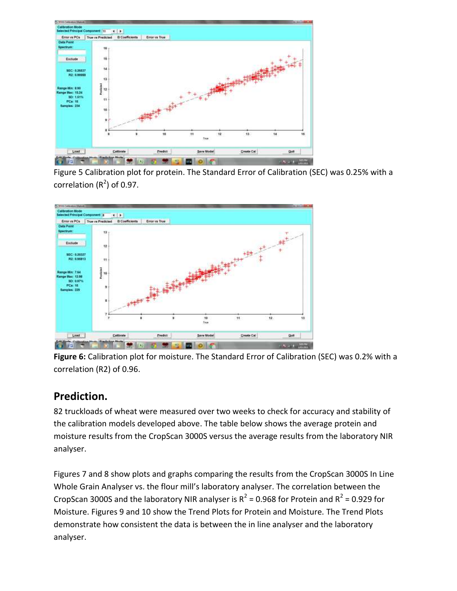

Figure 5 Calibration plot for protein. The Standard Error of Calibration (SEC) was 0.25% with a correlation  $(R^2)$  of 0.97.



**Figure 6:** Calibration plot for moisture. The Standard Error of Calibration (SEC) was 0.2% with a correlation (R2) of 0.96.

#### **Prediction.**

82 truckloads of wheat were measured over two weeks to check for accuracy and stability of the calibration models developed above. The table below shows the average protein and moisture results from the CropScan 3000S versus the average results from the laboratory NIR analyser.

Figures 7 and 8 show plots and graphs comparing the results from the CropScan 3000S In Line Whole Grain Analyser vs. the flour mill's laboratory analyser. The correlation between the CropScan 3000S and the laboratory NIR analyser is  $R^2$  = 0.968 for Protein and  $R^2$  = 0.929 for Moisture. Figures 9 and 10 show the Trend Plots for Protein and Moisture. The Trend Plots demonstrate how consistent the data is between the in line analyser and the laboratory analyser.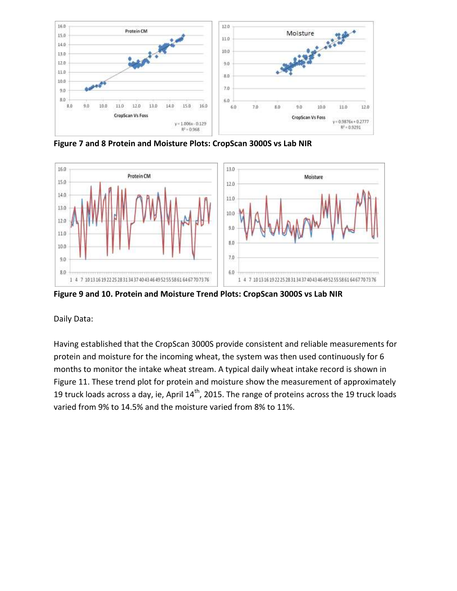

**Figure 7 and 8 Protein and Moisture Plots: CropScan 3000S vs Lab NIR**



**Figure 9 and 10. Protein and Moisture Trend Plots: CropScan 3000S vs Lab NIR**

Daily Data:

Having established that the CropScan 3000S provide consistent and reliable measurements for protein and moisture for the incoming wheat, the system was then used continuously for 6 months to monitor the intake wheat stream. A typical daily wheat intake record is shown in Figure 11. These trend plot for protein and moisture show the measurement of approximately 19 truck loads across a day, ie, April  $14<sup>th</sup>$ , 2015. The range of proteins across the 19 truck loads varied from 9% to 14.5% and the moisture varied from 8% to 11%.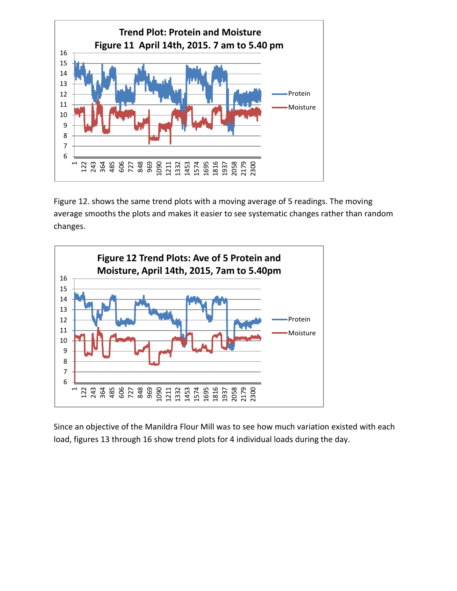

Figure 12. shows the same trend plots with a moving average of 5 readings. The moving average smooths the plots and makes it easier to see systematic changes rather than random changes.



Since an objective of the Manildra Flour Mill was to see how much variation existed with each load, figures 13 through 16 show trend plots for 4 individual loads during the day.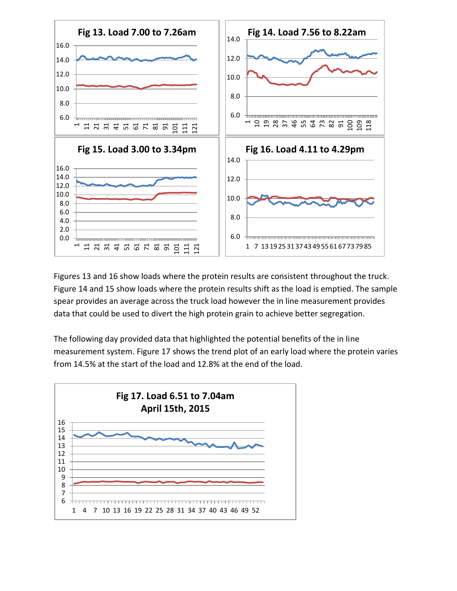

Figures 13 and 16 show loads where the protein results are consistent throughout the truck. Figure 14 and 15 show loads where the protein results shift as the load is emptied. The sample spear provides an average across the truck load however the in line measurement provides data that could be used to divert the high protein grain to achieve better segregation.

The following day provided data that highlighted the potential benefits of the in line measurement system. Figure 17 shows the trend plot of an early load where the protein varies from 14.5% at the start of the load and 12.8% at the end of the load.